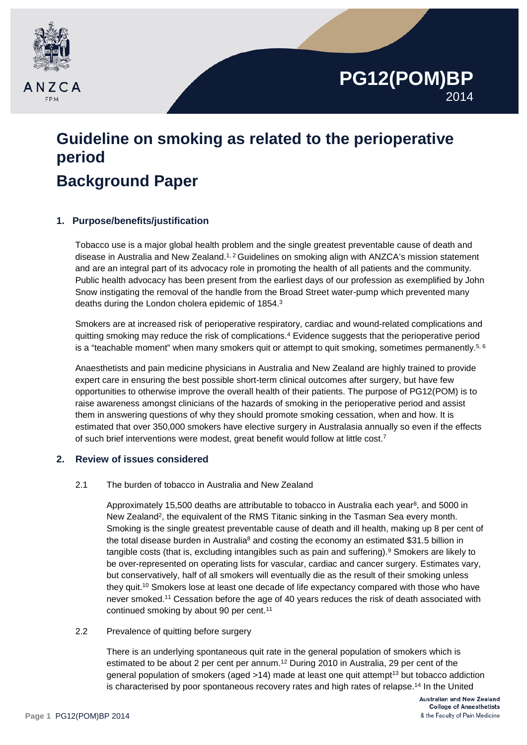

# **Guideline on smoking as related to the perioperative period Background Paper**

**PG12(POM)BP**

2014

# **1. Purpose/benefits/justification**

Tobacco use is a major global health problem and the single greatest preventable cause of death and disease in Australia and New Zealand.<sup>1, 2</sup> Guidelines on smoking align with ANZCA's mission statement and are an integral part of its advocacy role in promoting the health of all patients and the community. Public health advocacy has been present from the earliest days of our profession as exemplified by John Snow instigating the removal of the handle from the Broad Street water-pump which prevented many deaths during the London cholera epidemic of 1854.3

Smokers are at increased risk of perioperative respiratory, cardiac and wound-related complications and quitting smoking may reduce the risk of complications.4 Evidence suggests that the perioperative period is a "teachable moment" when many smokers quit or attempt to quit smoking, sometimes permanently.<sup>5, 6</sup>

Anaesthetists and pain medicine physicians in Australia and New Zealand are highly trained to provide expert care in ensuring the best possible short-term clinical outcomes after surgery, but have few opportunities to otherwise improve the overall health of their patients. The purpose of PG12(POM) is to raise awareness amongst clinicians of the hazards of smoking in the perioperative period and assist them in answering questions of why they should promote smoking cessation, when and how. It is estimated that over 350,000 smokers have elective surgery in Australasia annually so even if the effects of such brief interventions were modest, great benefit would follow at little cost.7

# **2. Review of issues considered**

2.1 The burden of tobacco in Australia and New Zealand

Approximately 15,500 deaths are attributable to tobacco in Australia each year<sup>8</sup>, and 5000 in New Zealand<sup>2</sup>, the equivalent of the RMS Titanic sinking in the Tasman Sea every month. Smoking is the single greatest preventable cause of death and ill health, making up 8 per cent of the total disease burden in Australia<sup>8</sup> and costing the economy an estimated \$31.5 billion in tangible costs (that is, excluding intangibles such as pain and suffering).<sup>9</sup> Smokers are likely to be over-represented on operating lists for vascular, cardiac and cancer surgery. Estimates vary, but conservatively, half of all smokers will eventually die as the result of their smoking unless they quit.10 Smokers lose at least one decade of life expectancy compared with those who have never smoked.11 Cessation before the age of 40 years reduces the risk of death associated with continued smoking by about 90 per cent.<sup>11</sup>

2.2 Prevalence of quitting before surgery

There is an underlying spontaneous quit rate in the general population of smokers which is estimated to be about 2 per cent per annum.12 During 2010 in Australia, 29 per cent of the general population of smokers (aged  $>14$ ) made at least one quit attempt<sup>13</sup> but tobacco addiction is characterised by poor spontaneous recovery rates and high rates of relapse.<sup>14</sup> In the United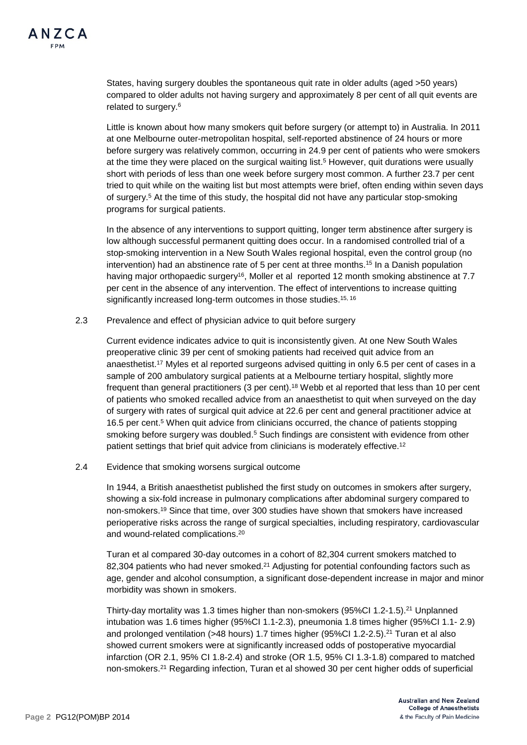States, having surgery doubles the spontaneous quit rate in older adults (aged >50 years) compared to older adults not having surgery and approximately 8 per cent of all quit events are related to surgery.6

Little is known about how many smokers quit before surgery (or attempt to) in Australia. In 2011 at one Melbourne outer-metropolitan hospital, self-reported abstinence of 24 hours or more before surgery was relatively common, occurring in 24.9 per cent of patients who were smokers at the time they were placed on the surgical waiting list.5 However, quit durations were usually short with periods of less than one week before surgery most common. A further 23.7 per cent tried to quit while on the waiting list but most attempts were brief, often ending within seven days of surgery.5 At the time of this study, the hospital did not have any particular stop-smoking programs for surgical patients.

In the absence of any interventions to support quitting, longer term abstinence after surgery is low although successful permanent quitting does occur. In a randomised controlled trial of a stop-smoking intervention in a New South Wales regional hospital, even the control group (no intervention) had an abstinence rate of 5 per cent at three months.15 In a Danish population having major orthopaedic surgery<sup>16</sup>, Moller et al reported 12 month smoking abstinence at 7.7 per cent in the absence of any intervention. The effect of interventions to increase quitting significantly increased long-term outcomes in those studies.<sup>15, 16</sup>

2.3 Prevalence and effect of physician advice to quit before surgery

Current evidence indicates advice to quit is inconsistently given. At one New South Wales preoperative clinic 39 per cent of smoking patients had received quit advice from an anaesthetist.17 Myles et al reported surgeons advised quitting in only 6.5 per cent of cases in a sample of 200 ambulatory surgical patients at a Melbourne tertiary hospital, slightly more frequent than general practitioners (3 per cent).18 Webb et al reported that less than 10 per cent of patients who smoked recalled advice from an anaesthetist to quit when surveyed on the day of surgery with rates of surgical quit advice at 22.6 per cent and general practitioner advice at 16.5 per cent.5 When quit advice from clinicians occurred, the chance of patients stopping smoking before surgery was doubled.<sup>5</sup> Such findings are consistent with evidence from other patient settings that brief quit advice from clinicians is moderately effective.<sup>12</sup>

2.4 Evidence that smoking worsens surgical outcome

In 1944, a British anaesthetist published the first study on outcomes in smokers after surgery, showing a six-fold increase in pulmonary complications after abdominal surgery compared to non-smokers.19 Since that time, over 300 studies have shown that smokers have increased perioperative risks across the range of surgical specialties, including respiratory, cardiovascular and wound-related complications.20

Turan et al compared 30-day outcomes in a cohort of 82,304 current smokers matched to 82,304 patients who had never smoked.<sup>21</sup> Adjusting for potential confounding factors such as age, gender and alcohol consumption, a significant dose-dependent increase in major and minor morbidity was shown in smokers.

Thirty-day mortality was 1.3 times higher than non-smokers (95%CI 1.2-1.5).21 Unplanned intubation was 1.6 times higher (95%CI 1.1-2.3), pneumonia 1.8 times higher (95%CI 1.1- 2.9) and prolonged ventilation (>48 hours) 1.7 times higher (95%CI 1.2-2.5).21 Turan et al also showed current smokers were at significantly increased odds of postoperative myocardial infarction (OR 2.1, 95% CI 1.8-2.4) and stroke (OR 1.5, 95% CI 1.3-1.8) compared to matched non-smokers.21 Regarding infection, Turan et al showed 30 per cent higher odds of superficial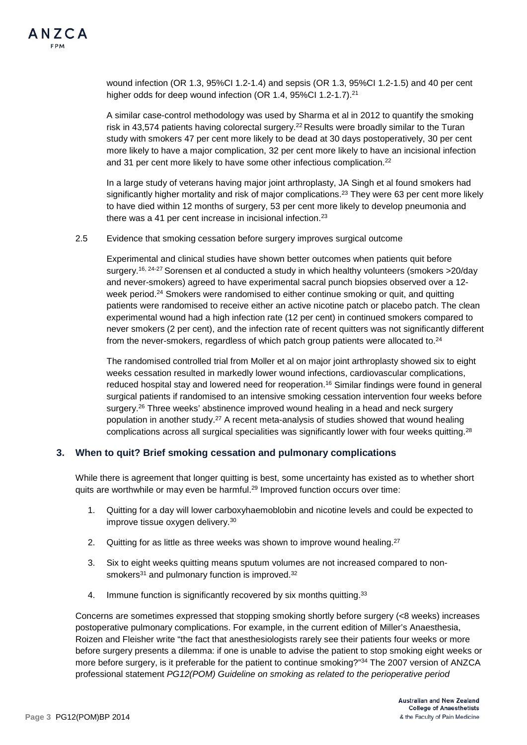wound infection (OR 1.3, 95%CI 1.2-1.4) and sepsis (OR 1.3, 95%CI 1.2-1.5) and 40 per cent higher odds for deep wound infection (OR 1.4, 95%Cl 1.2-1.7).<sup>21</sup>

A similar case-control methodology was used by Sharma et al in 2012 to quantify the smoking risk in 43,574 patients having colorectal surgery.<sup>22</sup> Results were broadly similar to the Turan study with smokers 47 per cent more likely to be dead at 30 days postoperatively, 30 per cent more likely to have a major complication, 32 per cent more likely to have an incisional infection and 31 per cent more likely to have some other infectious complication.<sup>22</sup>

In a large study of veterans having major joint arthroplasty, JA Singh et al found smokers had significantly higher mortality and risk of major complications.<sup>23</sup> They were 63 per cent more likely to have died within 12 months of surgery, 53 per cent more likely to develop pneumonia and there was a 41 per cent increase in incisional infection.23

#### 2.5 Evidence that smoking cessation before surgery improves surgical outcome

Experimental and clinical studies have shown better outcomes when patients quit before surgery.<sup>16, 24-27</sup> Sorensen et al conducted a study in which healthy volunteers (smokers >20/day and never-smokers) agreed to have experimental sacral punch biopsies observed over a 12 week period.<sup>24</sup> Smokers were randomised to either continue smoking or quit, and quitting patients were randomised to receive either an active nicotine patch or placebo patch. The clean experimental wound had a high infection rate (12 per cent) in continued smokers compared to never smokers (2 per cent), and the infection rate of recent quitters was not significantly different from the never-smokers, regardless of which patch group patients were allocated to.24

The randomised controlled trial from Moller et al on major joint arthroplasty showed six to eight weeks cessation resulted in markedly lower wound infections, cardiovascular complications, reduced hospital stay and lowered need for reoperation.<sup>16</sup> Similar findings were found in general surgical patients if randomised to an intensive smoking cessation intervention four weeks before surgery.<sup>26</sup> Three weeks' abstinence improved wound healing in a head and neck surgery population in another study.27 A recent meta-analysis of studies showed that wound healing complications across all surgical specialities was significantly lower with four weeks quitting.<sup>28</sup>

## **3. When to quit? Brief smoking cessation and pulmonary complications**

While there is agreement that longer quitting is best, some uncertainty has existed as to whether short quits are worthwhile or may even be harmful.<sup>29</sup> Improved function occurs over time:

- 1. Quitting for a day will lower carboxyhaemoblobin and nicotine levels and could be expected to improve tissue oxygen delivery.30
- 2. Quitting for as little as three weeks was shown to improve wound healing.<sup>27</sup>
- 3. Six to eight weeks quitting means sputum volumes are not increased compared to nonsmokers<sup>31</sup> and pulmonary function is improved.<sup>32</sup>
- 4. Immune function is significantly recovered by six months quitting.<sup>33</sup>

Concerns are sometimes expressed that stopping smoking shortly before surgery (<8 weeks) increases postoperative pulmonary complications. For example, in the current edition of Miller's Anaesthesia, Roizen and Fleisher write "the fact that anesthesiologists rarely see their patients four weeks or more before surgery presents a dilemma: if one is unable to advise the patient to stop smoking eight weeks or more before surgery, is it preferable for the patient to continue smoking?"<sup>34</sup> The 2007 version of ANZCA professional statement *PG12(POM) Guideline on smoking as related to the perioperative period*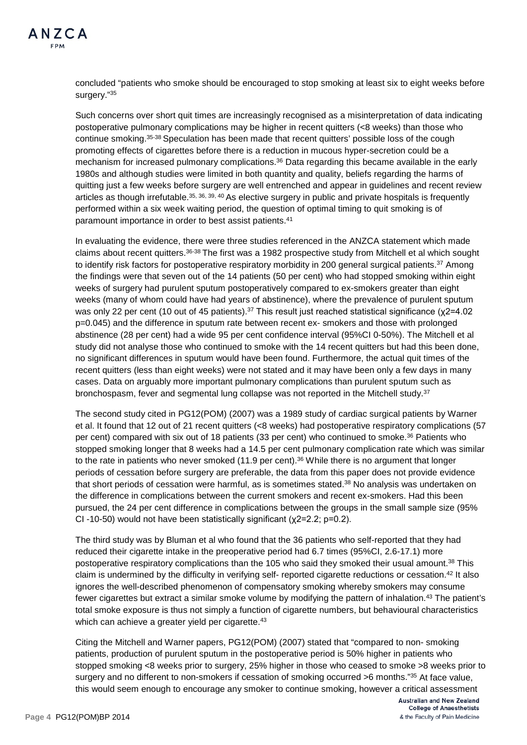concluded "patients who smoke should be encouraged to stop smoking at least six to eight weeks before surgery."35

Such concerns over short quit times are increasingly recognised as a misinterpretation of data indicating postoperative pulmonary complications may be higher in recent quitters (<8 weeks) than those who continue smoking.35-38 Speculation has been made that recent quitters' possible loss of the cough promoting effects of cigarettes before there is a reduction in mucous hyper-secretion could be a mechanism for increased pulmonary complications.<sup>36</sup> Data regarding this became available in the early 1980s and although studies were limited in both quantity and quality, beliefs regarding the harms of quitting just a few weeks before surgery are well entrenched and appear in guidelines and recent review articles as though irrefutable.<sup>35, 36, 39, 40</sup> As elective surgery in public and private hospitals is frequently performed within a six week waiting period, the question of optimal timing to quit smoking is of paramount importance in order to best assist patients.41

In evaluating the evidence, there were three studies referenced in the ANZCA statement which made claims about recent quitters.36-38 The first was a 1982 prospective study from Mitchell et al which sought to identify risk factors for postoperative respiratory morbidity in 200 general surgical patients.<sup>37</sup> Among the findings were that seven out of the 14 patients (50 per cent) who had stopped smoking within eight weeks of surgery had purulent sputum postoperatively compared to ex-smokers greater than eight weeks (many of whom could have had years of abstinence), where the prevalence of purulent sputum was only 22 per cent (10 out of 45 patients).<sup>37</sup> This result just reached statistical significance (χ2=4.02 p=0.045) and the difference in sputum rate between recent ex- smokers and those with prolonged abstinence (28 per cent) had a wide 95 per cent confidence interval (95%CI 0-50%). The Mitchell et al study did not analyse those who continued to smoke with the 14 recent quitters but had this been done, no significant differences in sputum would have been found. Furthermore, the actual quit times of the recent quitters (less than eight weeks) were not stated and it may have been only a few days in many cases. Data on arguably more important pulmonary complications than purulent sputum such as bronchospasm, fever and segmental lung collapse was not reported in the Mitchell study.<sup>37</sup>

The second study cited in PG12(POM) (2007) was a 1989 study of cardiac surgical patients by Warner et al. It found that 12 out of 21 recent quitters (<8 weeks) had postoperative respiratory complications (57 per cent) compared with six out of 18 patients (33 per cent) who continued to smoke.<sup>36</sup> Patients who stopped smoking longer that 8 weeks had a 14.5 per cent pulmonary complication rate which was similar to the rate in patients who never smoked (11.9 per cent).<sup>36</sup> While there is no argument that longer periods of cessation before surgery are preferable, the data from this paper does not provide evidence that short periods of cessation were harmful, as is sometimes stated.<sup>38</sup> No analysis was undertaken on the difference in complications between the current smokers and recent ex-smokers. Had this been pursued, the 24 per cent difference in complications between the groups in the small sample size (95% CI -10-50) would not have been statistically significant (χ2=2.2; p=0.2).

The third study was by Bluman et al who found that the 36 patients who self-reported that they had reduced their cigarette intake in the preoperative period had 6.7 times (95%CI, 2.6-17.1) more postoperative respiratory complications than the 105 who said they smoked their usual amount.38 This claim is undermined by the difficulty in verifying self- reported cigarette reductions or cessation.42 It also ignores the well-described phenomenon of compensatory smoking whereby smokers may consume fewer cigarettes but extract a similar smoke volume by modifying the pattern of inhalation.43 The patient's total smoke exposure is thus not simply a function of cigarette numbers, but behavioural characteristics which can achieve a greater yield per cigarette.<sup>43</sup>

Citing the Mitchell and Warner papers, PG12(POM) (2007) stated that "compared to non- smoking patients, production of purulent sputum in the postoperative period is 50% higher in patients who stopped smoking <8 weeks prior to surgery, 25% higher in those who ceased to smoke >8 weeks prior to surgery and no different to non-smokers if cessation of smoking occurred >6 months."35 At face value, this would seem enough to encourage any smoker to continue smoking, however a critical assessment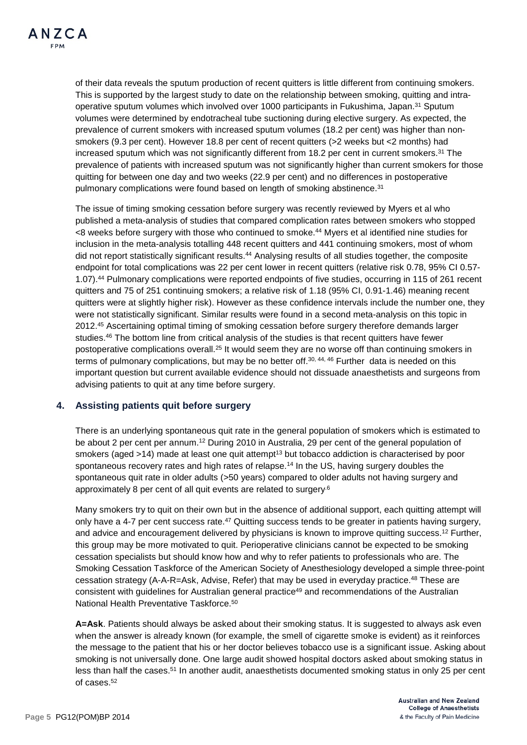of their data reveals the sputum production of recent quitters is little different from continuing smokers. This is supported by the largest study to date on the relationship between smoking, quitting and intraoperative sputum volumes which involved over 1000 participants in Fukushima, Japan.31 Sputum volumes were determined by endotracheal tube suctioning during elective surgery. As expected, the prevalence of current smokers with increased sputum volumes (18.2 per cent) was higher than nonsmokers (9.3 per cent). However 18.8 per cent of recent quitters (>2 weeks but <2 months) had increased sputum which was not significantly different from 18.2 per cent in current smokers.<sup>31</sup> The prevalence of patients with increased sputum was not significantly higher than current smokers for those quitting for between one day and two weeks (22.9 per cent) and no differences in postoperative pulmonary complications were found based on length of smoking abstinence.<sup>31</sup>

The issue of timing smoking cessation before surgery was recently reviewed by Myers et al who published a meta-analysis of studies that compared complication rates between smokers who stopped <8 weeks before surgery with those who continued to smoke.44 Myers et al identified nine studies for inclusion in the meta-analysis totalling 448 recent quitters and 441 continuing smokers, most of whom did not report statistically significant results.<sup>44</sup> Analysing results of all studies together, the composite endpoint for total complications was 22 per cent lower in recent quitters (relative risk 0.78, 95% CI 0.57- 1.07).44 Pulmonary complications were reported endpoints of five studies, occurring in 115 of 261 recent quitters and 75 of 251 continuing smokers; a relative risk of 1.18 (95% CI, 0.91-1.46) meaning recent quitters were at slightly higher risk). However as these confidence intervals include the number one, they were not statistically significant. Similar results were found in a second meta-analysis on this topic in 2012. <sup>45</sup> Ascertaining optimal timing of smoking cessation before surgery therefore demands larger studies.<sup>46</sup> The bottom line from critical analysis of the studies is that recent quitters have fewer postoperative complications overall.25 It would seem they are no worse off than continuing smokers in terms of pulmonary complications, but may be no better off.<sup>30, 44, 46</sup> Further data is needed on this important question but current available evidence should not dissuade anaesthetists and surgeons from advising patients to quit at any time before surgery.

# **4. Assisting patients quit before surgery**

There is an underlying spontaneous quit rate in the general population of smokers which is estimated to be about 2 per cent per annum.<sup>12</sup> During 2010 in Australia, 29 per cent of the general population of smokers (aged >14) made at least one quit attempt<sup>13</sup> but tobacco addiction is characterised by poor spontaneous recovery rates and high rates of relapse.<sup>14</sup> In the US, having surgery doubles the spontaneous quit rate in older adults (>50 years) compared to older adults not having surgery and approximately 8 per cent of all quit events are related to surgery.<sup>6</sup>

Many smokers try to quit on their own but in the absence of additional support, each quitting attempt will only have a 4-7 per cent success rate.47 Quitting success tends to be greater in patients having surgery, and advice and encouragement delivered by physicians is known to improve quitting success.<sup>12</sup> Further, this group may be more motivated to quit. Perioperative clinicians cannot be expected to be smoking cessation specialists but should know how and why to refer patients to professionals who are. The Smoking Cessation Taskforce of the American Society of Anesthesiology developed a simple three-point cessation strategy (A-A-R=Ask, Advise, Refer) that may be used in everyday practice.48 These are consistent with guidelines for Australian general practice<sup>49</sup> and recommendations of the Australian National Health Preventative Taskforce.50

**A=Ask**. Patients should always be asked about their smoking status. It is suggested to always ask even when the answer is already known (for example, the smell of cigarette smoke is evident) as it reinforces the message to the patient that his or her doctor believes tobacco use is a significant issue. Asking about smoking is not universally done. One large audit showed hospital doctors asked about smoking status in less than half the cases.<sup>51</sup> In another audit, anaesthetists documented smoking status in only 25 per cent of cases.52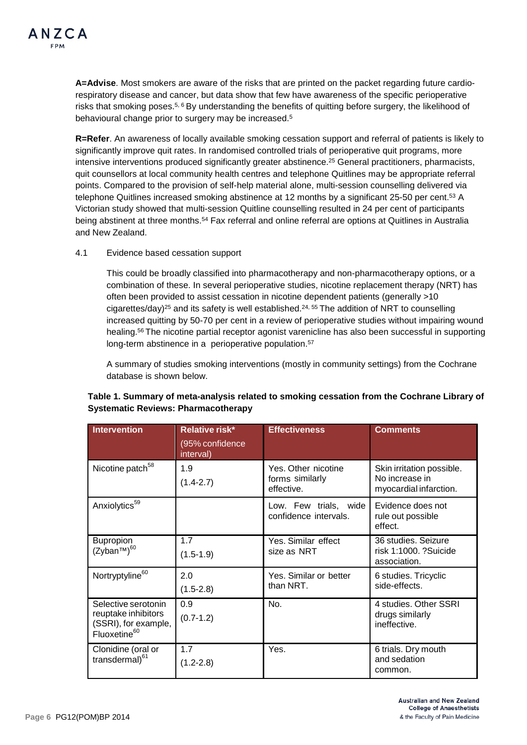**A=Advise**. Most smokers are aware of the risks that are printed on the packet regarding future cardiorespiratory disease and cancer, but data show that few have awareness of the specific perioperative risks that smoking poses.<sup>5, 6</sup> By understanding the benefits of quitting before surgery, the likelihood of behavioural change prior to surgery may be increased.5

**R=Refer**. An awareness of locally available smoking cessation support and referral of patients is likely to significantly improve quit rates. In randomised controlled trials of perioperative quit programs, more intensive interventions produced significantly greater abstinence.25 General practitioners, pharmacists, quit counsellors at local community health centres and telephone Quitlines may be appropriate referral points. Compared to the provision of self-help material alone, multi-session counselling delivered via telephone Quitlines increased smoking abstinence at 12 months by a significant 25-50 per cent.<sup>53</sup> A Victorian study showed that multi-session Quitline counselling resulted in 24 per cent of participants being abstinent at three months.<sup>54</sup> Fax referral and online referral are options at Quitlines in Australia and New Zealand.

## 4.1 Evidence based cessation support

This could be broadly classified into pharmacotherapy and non-pharmacotherapy options, or a combination of these. In several perioperative studies, nicotine replacement therapy (NRT) has often been provided to assist cessation in nicotine dependent patients (generally >10 cigarettes/day)<sup>25</sup> and its safety is well established.<sup>24, 55</sup> The addition of NRT to counselling increased quitting by 50-70 per cent in a review of perioperative studies without impairing wound healing.56 The nicotine partial receptor agonist varenicline has also been successful in supporting long-term abstinence in a perioperative population.<sup>57</sup>

A summary of studies smoking interventions (mostly in community settings) from the Cochrane database is shown below.

| <b>Intervention</b>                                                                            | <b>Relative risk*</b><br>(95% confidence<br>interval) | <b>Effectiveness</b>                                 | <b>Comments</b>                                                       |
|------------------------------------------------------------------------------------------------|-------------------------------------------------------|------------------------------------------------------|-----------------------------------------------------------------------|
| Nicotine patch <sup>58</sup>                                                                   | 1.9<br>$(1.4 - 2.7)$                                  | Yes. Other nicotine<br>forms similarly<br>effective. | Skin irritation possible.<br>No increase in<br>myocardial infarction. |
| Anxiolytics <sup>59</sup>                                                                      |                                                       | Low. Few trials, wide<br>confidence intervals.       | Evidence does not<br>rule out possible<br>effect.                     |
| <b>Bupropion</b><br>(Zyban <sup>TM</sup> ) <sup>60</sup>                                       | 1.7<br>$(1.5-1.9)$                                    | Yes. Similar effect<br>size as NRT                   | 36 studies. Seizure<br>risk 1:1000. ?Suicide<br>association.          |
| Nortryptyline <sup>60</sup>                                                                    | 2.0<br>$(1.5-2.8)$                                    | Yes. Similar or better<br>than NRT.                  | 6 studies. Tricyclic<br>side-effects.                                 |
| Selective serotonin<br>reuptake inhibitors<br>(SSRI), for example,<br>Fluoxetine <sup>60</sup> | 0.9<br>$(0.7-1.2)$                                    | No.                                                  | 4 studies. Other SSRI<br>drugs similarly<br>ineffective.              |
| Clonidine (oral or<br>transdermal) <sup>61</sup>                                               | 1.7<br>$(1.2 - 2.8)$                                  | Yes.                                                 | 6 trials. Dry mouth<br>and sedation<br>common.                        |

# **Table 1. Summary of meta-analysis related to smoking cessation from the Cochrane Library of Systematic Reviews: Pharmacotherapy**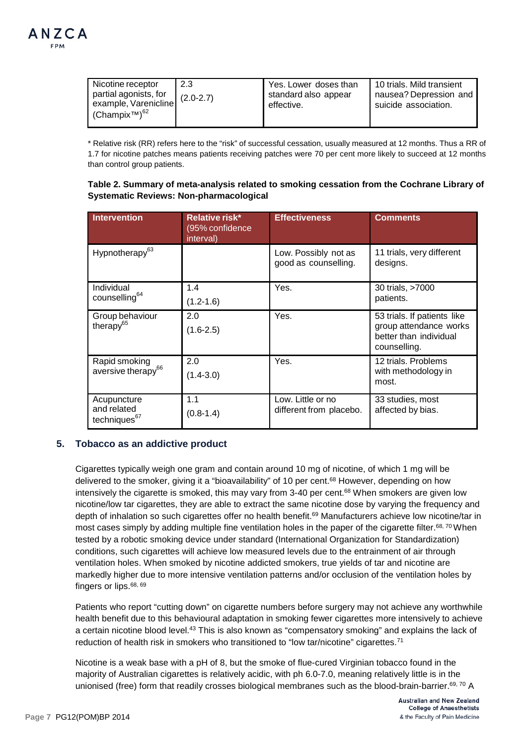| Nicotine receptor<br>partial agonists, for<br>example, Varenicline<br>(Champix <sup>TM</sup> ) <sup>62</sup> | 2.3<br>$(2.0 - 2.7)$ | Yes. Lower doses than<br>standard also appear<br>effective. | 10 trials. Mild transient<br>nausea? Depression and<br>suicide association. |
|--------------------------------------------------------------------------------------------------------------|----------------------|-------------------------------------------------------------|-----------------------------------------------------------------------------|
|--------------------------------------------------------------------------------------------------------------|----------------------|-------------------------------------------------------------|-----------------------------------------------------------------------------|

\* Relative risk (RR) refers here to the "risk" of successful cessation, usually measured at 12 months. Thus a RR of 1.7 for nicotine patches means patients receiving patches were 70 per cent more likely to succeed at 12 months than control group patients.

## **Table 2. Summary of meta-analysis related to smoking cessation from the Cochrane Library of Systematic Reviews: Non-pharmacological**

| <b>Intervention</b>                                    | Relative risk*<br>(95% confidence<br>interval) | <b>Effectiveness</b>                         | <b>Comments</b>                                                                                 |
|--------------------------------------------------------|------------------------------------------------|----------------------------------------------|-------------------------------------------------------------------------------------------------|
| Hypnotherapy <sup>63</sup>                             |                                                | Low. Possibly not as<br>good as counselling. | 11 trials, very different<br>designs.                                                           |
| Individual<br>counselling <sup>64</sup>                | 1.4<br>$(1.2 - 1.6)$                           | Yes.                                         | 30 trials, >7000<br>patients.                                                                   |
| Group behaviour<br>therapy <sup>65</sup>               | 2.0<br>$(1.6 - 2.5)$                           | Yes.                                         | 53 trials. If patients like<br>group attendance works<br>better than individual<br>counselling. |
| Rapid smoking<br>aversive therapy <sup>66</sup>        | 2.0<br>$(1.4 - 3.0)$                           | Yes.                                         | 12 trials. Problems<br>with methodology in<br>most.                                             |
| Acupuncture<br>and related<br>techniques <sup>67</sup> | 1.1<br>$(0.8-1.4)$                             | Low. Little or no<br>different from placebo. | 33 studies, most<br>affected by bias.                                                           |

# **5. Tobacco as an addictive product**

Cigarettes typically weigh one gram and contain around 10 mg of nicotine, of which 1 mg will be delivered to the smoker, giving it a "bioavailability" of 10 per cent.<sup>68</sup> However, depending on how intensively the cigarette is smoked, this may vary from  $3-40$  per cent.<sup>68</sup> When smokers are given low nicotine/low tar cigarettes, they are able to extract the same nicotine dose by varying the frequency and depth of inhalation so such cigarettes offer no health benefit.<sup>69</sup> Manufacturers achieve low nicotine/tar in most cases simply by adding multiple fine ventilation holes in the paper of the cigarette filter.<sup>68, 70</sup> When tested by a robotic smoking device under standard (International Organization for Standardization) conditions, such cigarettes will achieve low measured levels due to the entrainment of air through ventilation holes. When smoked by nicotine addicted smokers, true yields of tar and nicotine are markedly higher due to more intensive ventilation patterns and/or occlusion of the ventilation holes by fingers or lips.<sup>68, 69</sup>

Patients who report "cutting down" on cigarette numbers before surgery may not achieve any worthwhile health benefit due to this behavioural adaptation in smoking fewer cigarettes more intensively to achieve a certain nicotine blood level.43 This is also known as "compensatory smoking" and explains the lack of reduction of health risk in smokers who transitioned to "low tar/nicotine" cigarettes.<sup>71</sup>

Nicotine is a weak base with a pH of 8, but the smoke of flue-cured Virginian tobacco found in the majority of Australian cigarettes is relatively acidic, with ph 6.0-7.0, meaning relatively little is in the unionised (free) form that readily crosses biological membranes such as the blood-brain-barrier.<sup>69, 70</sup> A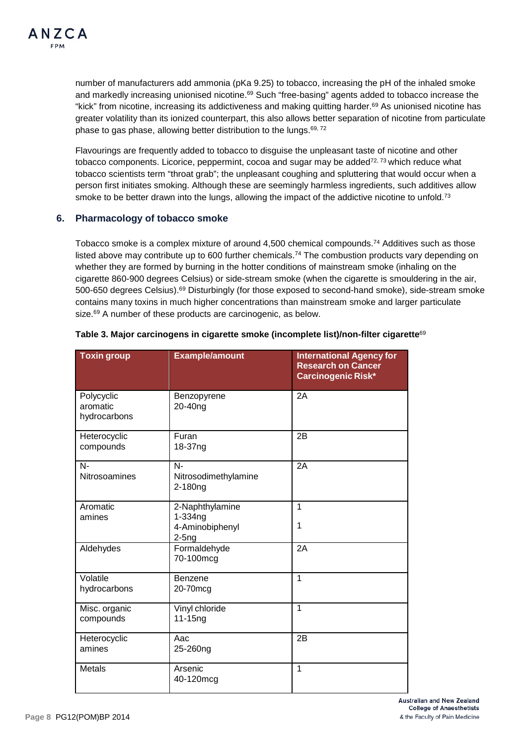number of manufacturers add ammonia (pKa 9.25) to tobacco, increasing the pH of the inhaled smoke and markedly increasing unionised nicotine.<sup>69</sup> Such "free-basing" agents added to tobacco increase the "kick" from nicotine, increasing its addictiveness and making quitting harder.69 As unionised nicotine has greater volatility than its ionized counterpart, this also allows better separation of nicotine from particulate phase to gas phase, allowing better distribution to the lungs.<sup>69, 72</sup>

Flavourings are frequently added to tobacco to disguise the unpleasant taste of nicotine and other tobacco components. Licorice, peppermint, cocoa and sugar may be added $72,73$  which reduce what tobacco scientists term "throat grab"; the unpleasant coughing and spluttering that would occur when a person first initiates smoking. Although these are seemingly harmless ingredients, such additives allow smoke to be better drawn into the lungs, allowing the impact of the addictive nicotine to unfold.<sup>73</sup>

# **6. Pharmacology of tobacco smoke**

Tobacco smoke is a complex mixture of around 4,500 chemical compounds.74 Additives such as those listed above may contribute up to 600 further chemicals.<sup>74</sup> The combustion products vary depending on whether they are formed by burning in the hotter conditions of mainstream smoke (inhaling on the cigarette 860-900 degrees Celsius) or side-stream smoke (when the cigarette is smouldering in the air, 500-650 degrees Celsius).69 Disturbingly (for those exposed to second-hand smoke), side-stream smoke contains many toxins in much higher concentrations than mainstream smoke and larger particulate size.<sup>69</sup> A number of these products are carcinogenic, as below.

| Toxin group                            | Example/amount                                           | <b>International Agency for</b><br><b>Research on Cancer</b><br><b>Carcinogenic Risk*</b> |
|----------------------------------------|----------------------------------------------------------|-------------------------------------------------------------------------------------------|
| Polycyclic<br>aromatic<br>hydrocarbons | Benzopyrene<br>20-40ng                                   | 2A                                                                                        |
| Heterocyclic<br>compounds              | Furan<br>18-37ng                                         | 2B                                                                                        |
| $\overline{N}$<br>Nitrosoamines        | N-<br>Nitrosodimethylamine<br>2-180ng                    | $\overline{2A}$                                                                           |
| Aromatic<br>amines                     | 2-Naphthylamine<br>1-334ng<br>4-Aminobiphenyl<br>$2-5ng$ | $\overline{1}$<br>1                                                                       |
| Aldehydes                              | Formaldehyde<br>70-100mcg                                | 2A                                                                                        |
| Volatile<br>hydrocarbons               | Benzene<br>20-70mcg                                      | 1                                                                                         |
| Misc. organic<br>compounds             | Vinyl chloride<br>11-15 <sub>ng</sub>                    | 1                                                                                         |
| Heterocyclic<br>amines                 | Aac<br>25-260ng                                          | 2B                                                                                        |
| <b>Metals</b>                          | Arsenic<br>40-120mcg                                     | 1                                                                                         |

#### **Table 3. Major carcinogens in cigarette smoke (incomplete list)/non-filter cigarette**<sup>69</sup>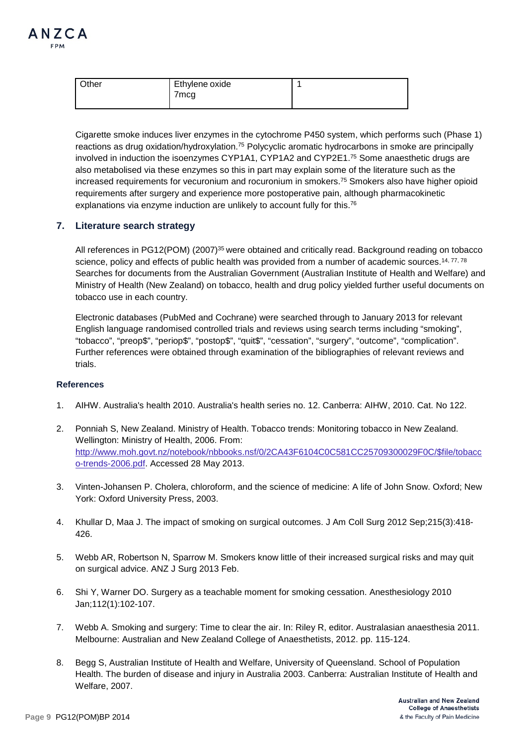| Other | Ethylene oxide |  |
|-------|----------------|--|
|       | 7mcg           |  |

Cigarette smoke induces liver enzymes in the cytochrome P450 system, which performs such (Phase 1) reactions as drug oxidation/hydroxylation.<sup>75</sup> Polycyclic aromatic hydrocarbons in smoke are principally involved in induction the isoenzymes CYP1A1, CYP1A2 and CYP2E1.75 Some anaesthetic drugs are also metabolised via these enzymes so this in part may explain some of the literature such as the increased requirements for vecuronium and rocuronium in smokers.75 Smokers also have higher opioid requirements after surgery and experience more postoperative pain, although pharmacokinetic explanations via enzyme induction are unlikely to account fully for this.<sup>76</sup>

## **7. Literature search strategy**

All references in PG12(POM) (2007)<sup>35</sup> were obtained and critically read. Background reading on tobacco science, policy and effects of public health was provided from a number of academic sources.<sup>14, 77, 78</sup> Searches for documents from the Australian Government (Australian Institute of Health and Welfare) and Ministry of Health (New Zealand) on tobacco, health and drug policy yielded further useful documents on tobacco use in each country.

Electronic databases (PubMed and Cochrane) were searched through to January 2013 for relevant English language randomised controlled trials and reviews using search terms including "smoking", "tobacco", "preop\$", "periop\$", "postop\$", "quit\$", "cessation", "surgery", "outcome", "complication". Further references were obtained through examination of the bibliographies of relevant reviews and trials.

## **References**

- 1. AIHW. Australia's health 2010. Australia's health series no. 12. Canberra: AIHW, 2010. Cat. No 122.
- 2. Ponniah S, New Zealand. Ministry of Health. Tobacco trends: Monitoring tobacco in New Zealand. Wellington: Ministry of Health, 2006. From: [http://www.moh.govt.nz/notebook/nbbooks.nsf/0/2CA43F6104C0C581CC25709300029F0C/\\$file/tobacc](http://www.moh.govt.nz/notebook/nbbooks.nsf/0/2CA43F6104C0C581CC25709300029F0C/$file/tobacco-trends-2006.pdf) [o-trends-2006.pdf.](http://www.moh.govt.nz/notebook/nbbooks.nsf/0/2CA43F6104C0C581CC25709300029F0C/$file/tobacco-trends-2006.pdf) Accessed 28 May 2013.
- 3. Vinten-Johansen P. Cholera, chloroform, and the science of medicine: A life of John Snow. Oxford; New York: Oxford University Press, 2003.
- 4. Khullar D, Maa J. The impact of smoking on surgical outcomes. J Am Coll Surg 2012 Sep;215(3):418- 426.
- 5. Webb AR, Robertson N, Sparrow M. Smokers know little of their increased surgical risks and may quit on surgical advice. ANZ J Surg 2013 Feb.
- 6. Shi Y, Warner DO. Surgery as a teachable moment for smoking cessation. Anesthesiology 2010 Jan;112(1):102-107.
- 7. Webb A. Smoking and surgery: Time to clear the air. In: Riley R, editor. Australasian anaesthesia 2011. Melbourne: Australian and New Zealand College of Anaesthetists, 2012. pp. 115-124.
- 8. Begg S, Australian Institute of Health and Welfare, University of Queensland. School of Population Health. The burden of disease and injury in Australia 2003. Canberra: Australian Institute of Health and Welfare, 2007.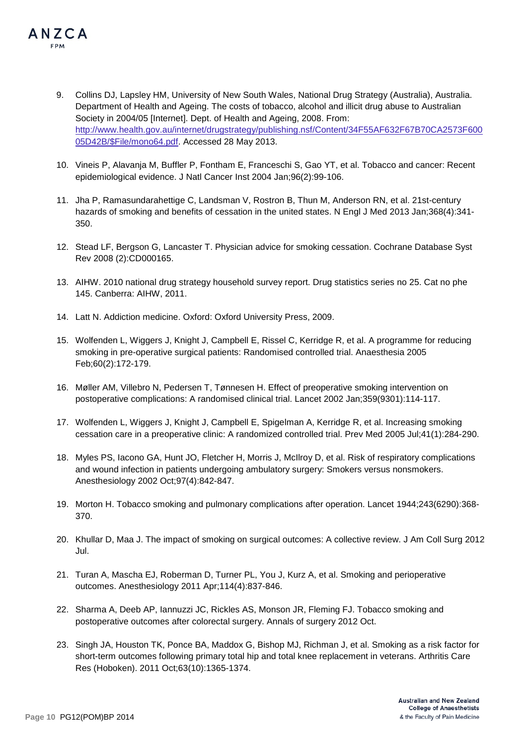

- 10. Vineis P, Alavanja M, Buffler P, Fontham E, Franceschi S, Gao YT, et al. Tobacco and cancer: Recent epidemiological evidence. J Natl Cancer Inst 2004 Jan;96(2):99-106.
- 11. Jha P, Ramasundarahettige C, Landsman V, Rostron B, Thun M, Anderson RN, et al. 21st-century hazards of smoking and benefits of cessation in the united states. N Engl J Med 2013 Jan;368(4):341-350.
- 12. Stead LF, Bergson G, Lancaster T. Physician advice for smoking cessation. Cochrane Database Syst Rev 2008 (2):CD000165.
- 13. AIHW. 2010 national drug strategy household survey report. Drug statistics series no 25. Cat no phe 145. Canberra: AIHW, 2011.
- 14. Latt N. Addiction medicine. Oxford: Oxford University Press, 2009.
- 15. Wolfenden L, Wiggers J, Knight J, Campbell E, Rissel C, Kerridge R, et al. A programme for reducing smoking in pre-operative surgical patients: Randomised controlled trial. Anaesthesia 2005 Feb;60(2):172-179.
- 16. Møller AM, Villebro N, Pedersen T, Tønnesen H. Effect of preoperative smoking intervention on postoperative complications: A randomised clinical trial. Lancet 2002 Jan;359(9301):114-117.
- 17. Wolfenden L, Wiggers J, Knight J, Campbell E, Spigelman A, Kerridge R, et al. Increasing smoking cessation care in a preoperative clinic: A randomized controlled trial. Prev Med 2005 Jul;41(1):284-290.
- 18. Myles PS, Iacono GA, Hunt JO, Fletcher H, Morris J, McIlroy D, et al. Risk of respiratory complications and wound infection in patients undergoing ambulatory surgery: Smokers versus nonsmokers. Anesthesiology 2002 Oct;97(4):842-847.
- 19. Morton H. Tobacco smoking and pulmonary complications after operation. Lancet 1944;243(6290):368- 370.
- 20. Khullar D, Maa J. The impact of smoking on surgical outcomes: A collective review. J Am Coll Surg 2012 Jul.
- 21. Turan A, Mascha EJ, Roberman D, Turner PL, You J, Kurz A, et al. Smoking and perioperative outcomes. Anesthesiology 2011 Apr;114(4):837-846.
- 22. Sharma A, Deeb AP, Iannuzzi JC, Rickles AS, Monson JR, Fleming FJ. Tobacco smoking and postoperative outcomes after colorectal surgery. Annals of surgery 2012 Oct.
- 23. Singh JA, Houston TK, Ponce BA, Maddox G, Bishop MJ, Richman J, et al. Smoking as a risk factor for short-term outcomes following primary total hip and total knee replacement in veterans. Arthritis Care Res (Hoboken). 2011 Oct;63(10):1365-1374.

ANZCA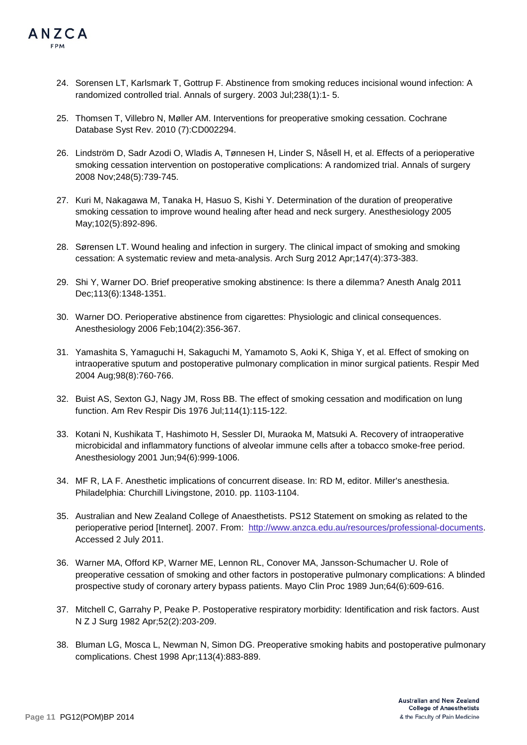- 24. Sorensen LT, Karlsmark T, Gottrup F. Abstinence from smoking reduces incisional wound infection: A randomized controlled trial. Annals of surgery. 2003 Jul;238(1):1- 5.
- 25. Thomsen T, Villebro N, Møller AM. Interventions for preoperative smoking cessation. Cochrane Database Syst Rev. 2010 (7):CD002294.
- 26. Lindström D, Sadr Azodi O, Wladis A, Tønnesen H, Linder S, Nåsell H, et al. Effects of a perioperative smoking cessation intervention on postoperative complications: A randomized trial. Annals of surgery 2008 Nov;248(5):739-745.
- 27. Kuri M, Nakagawa M, Tanaka H, Hasuo S, Kishi Y. Determination of the duration of preoperative smoking cessation to improve wound healing after head and neck surgery. Anesthesiology 2005 May;102(5):892-896.
- 28. Sørensen LT. Wound healing and infection in surgery. The clinical impact of smoking and smoking cessation: A systematic review and meta-analysis. Arch Surg 2012 Apr;147(4):373-383.
- 29. Shi Y, Warner DO. Brief preoperative smoking abstinence: Is there a dilemma? Anesth Analg 2011 Dec;113(6):1348-1351.
- 30. Warner DO. Perioperative abstinence from cigarettes: Physiologic and clinical consequences. Anesthesiology 2006 Feb;104(2):356-367.
- 31. Yamashita S, Yamaguchi H, Sakaguchi M, Yamamoto S, Aoki K, Shiga Y, et al. Effect of smoking on intraoperative sputum and postoperative pulmonary complication in minor surgical patients. Respir Med 2004 Aug;98(8):760-766.
- 32. Buist AS, Sexton GJ, Nagy JM, Ross BB. The effect of smoking cessation and modification on lung function. Am Rev Respir Dis 1976 Jul;114(1):115-122.
- 33. Kotani N, Kushikata T, Hashimoto H, Sessler DI, Muraoka M, Matsuki A. Recovery of intraoperative microbicidal and inflammatory functions of alveolar immune cells after a tobacco smoke-free period. Anesthesiology 2001 Jun;94(6):999-1006.
- 34. MF R, LA F. Anesthetic implications of concurrent disease. In: RD M, editor. Miller's anesthesia. Philadelphia: Churchill Livingstone, 2010. pp. 1103-1104.
- 35. Australian and New Zealand College of Anaesthetists. PS12 Statement on smoking as related to the perioperative period [Internet]. 2007. From: [http://www.anzca.edu.au/resources/professional-documents.](http://www.anzca.edu.au/resources/professional-documents) Accessed 2 July 2011.
- 36. Warner MA, Offord KP, Warner ME, Lennon RL, Conover MA, Jansson-Schumacher U. Role of preoperative cessation of smoking and other factors in postoperative pulmonary complications: A blinded prospective study of coronary artery bypass patients. Mayo Clin Proc 1989 Jun;64(6):609-616.
- 37. Mitchell C, Garrahy P, Peake P. Postoperative respiratory morbidity: Identification and risk factors. Aust N Z J Surg 1982 Apr;52(2):203-209.
- 38. Bluman LG, Mosca L, Newman N, Simon DG. Preoperative smoking habits and postoperative pulmonary complications. Chest 1998 Apr;113(4):883-889.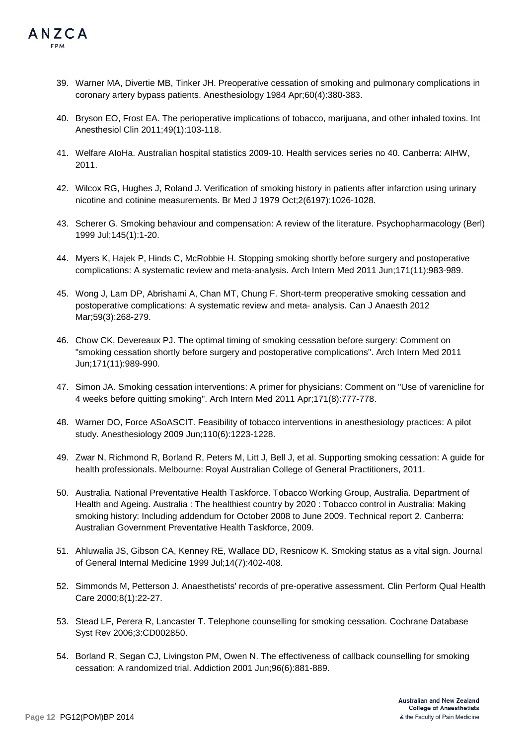- 39. Warner MA, Divertie MB, Tinker JH. Preoperative cessation of smoking and pulmonary complications in coronary artery bypass patients. Anesthesiology 1984 Apr;60(4):380-383.
- 40. Bryson EO, Frost EA. The perioperative implications of tobacco, marijuana, and other inhaled toxins. Int Anesthesiol Clin 2011;49(1):103-118.
- 41. Welfare AIoHa. Australian hospital statistics 2009-10. Health services series no 40. Canberra: AIHW, 2011.
- 42. Wilcox RG, Hughes J, Roland J. Verification of smoking history in patients after infarction using urinary nicotine and cotinine measurements. Br Med J 1979 Oct;2(6197):1026-1028.
- 43. Scherer G. Smoking behaviour and compensation: A review of the literature. Psychopharmacology (Berl) 1999 Jul;145(1):1-20.
- 44. Myers K, Hajek P, Hinds C, McRobbie H. Stopping smoking shortly before surgery and postoperative complications: A systematic review and meta-analysis. Arch Intern Med 2011 Jun;171(11):983-989.
- 45. Wong J, Lam DP, Abrishami A, Chan MT, Chung F. Short-term preoperative smoking cessation and postoperative complications: A systematic review and meta- analysis. Can J Anaesth 2012 Mar;59(3):268-279.
- 46. Chow CK, Devereaux PJ. The optimal timing of smoking cessation before surgery: Comment on "smoking cessation shortly before surgery and postoperative complications". Arch Intern Med 2011 Jun;171(11):989-990.
- 47. Simon JA. Smoking cessation interventions: A primer for physicians: Comment on "Use of varenicline for 4 weeks before quitting smoking". Arch Intern Med 2011 Apr;171(8):777-778.
- 48. Warner DO, Force ASoASCIT. Feasibility of tobacco interventions in anesthesiology practices: A pilot study. Anesthesiology 2009 Jun;110(6):1223-1228.
- 49. Zwar N, Richmond R, Borland R, Peters M, Litt J, Bell J, et al. Supporting smoking cessation: A guide for health professionals. Melbourne: Royal Australian College of General Practitioners, 2011.
- 50. Australia. National Preventative Health Taskforce. Tobacco Working Group, Australia. Department of Health and Ageing. Australia : The healthiest country by 2020 : Tobacco control in Australia: Making smoking history: Including addendum for October 2008 to June 2009. Technical report 2. Canberra: Australian Government Preventative Health Taskforce, 2009.
- 51. Ahluwalia JS, Gibson CA, Kenney RE, Wallace DD, Resnicow K. Smoking status as a vital sign. Journal of General Internal Medicine 1999 Jul;14(7):402-408.
- 52. Simmonds M, Petterson J. Anaesthetists' records of pre-operative assessment. Clin Perform Qual Health Care 2000;8(1):22-27.
- 53. Stead LF, Perera R, Lancaster T. Telephone counselling for smoking cessation. Cochrane Database Syst Rev 2006;3:CD002850.
- 54. Borland R, Segan CJ, Livingston PM, Owen N. The effectiveness of callback counselling for smoking cessation: A randomized trial. Addiction 2001 Jun;96(6):881-889.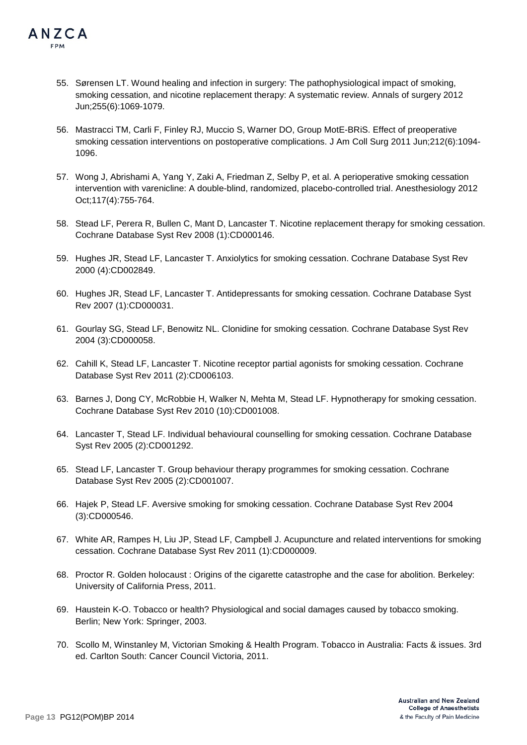- 55. Sørensen LT. Wound healing and infection in surgery: The pathophysiological impact of smoking, smoking cessation, and nicotine replacement therapy: A systematic review. Annals of surgery 2012 Jun;255(6):1069-1079.
- 56. Mastracci TM, Carli F, Finley RJ, Muccio S, Warner DO, Group MotE-BRiS. Effect of preoperative smoking cessation interventions on postoperative complications. J Am Coll Surg 2011 Jun;212(6):1094- 1096.
- 57. Wong J, Abrishami A, Yang Y, Zaki A, Friedman Z, Selby P, et al. A perioperative smoking cessation intervention with varenicline: A double-blind, randomized, placebo-controlled trial. Anesthesiology 2012 Oct;117(4):755-764.
- 58. Stead LF, Perera R, Bullen C, Mant D, Lancaster T. Nicotine replacement therapy for smoking cessation. Cochrane Database Syst Rev 2008 (1):CD000146.
- 59. Hughes JR, Stead LF, Lancaster T. Anxiolytics for smoking cessation. Cochrane Database Syst Rev 2000 (4):CD002849.
- 60. Hughes JR, Stead LF, Lancaster T. Antidepressants for smoking cessation. Cochrane Database Syst Rev 2007 (1):CD000031.
- 61. Gourlay SG, Stead LF, Benowitz NL. Clonidine for smoking cessation. Cochrane Database Syst Rev 2004 (3):CD000058.
- 62. Cahill K, Stead LF, Lancaster T. Nicotine receptor partial agonists for smoking cessation. Cochrane Database Syst Rev 2011 (2):CD006103.
- 63. Barnes J, Dong CY, McRobbie H, Walker N, Mehta M, Stead LF. Hypnotherapy for smoking cessation. Cochrane Database Syst Rev 2010 (10):CD001008.
- 64. Lancaster T, Stead LF. Individual behavioural counselling for smoking cessation. Cochrane Database Syst Rev 2005 (2):CD001292.
- 65. Stead LF, Lancaster T. Group behaviour therapy programmes for smoking cessation. Cochrane Database Syst Rev 2005 (2):CD001007.
- 66. Hajek P, Stead LF. Aversive smoking for smoking cessation. Cochrane Database Syst Rev 2004 (3):CD000546.
- 67. White AR, Rampes H, Liu JP, Stead LF, Campbell J. Acupuncture and related interventions for smoking cessation. Cochrane Database Syst Rev 2011 (1):CD000009.
- 68. Proctor R. Golden holocaust : Origins of the cigarette catastrophe and the case for abolition. Berkeley: University of California Press, 2011.
- 69. Haustein K-O. Tobacco or health? Physiological and social damages caused by tobacco smoking. Berlin; New York: Springer, 2003.
- 70. Scollo M, Winstanley M, Victorian Smoking & Health Program. Tobacco in Australia: Facts & issues. 3rd ed. Carlton South: Cancer Council Victoria, 2011.

ANZCA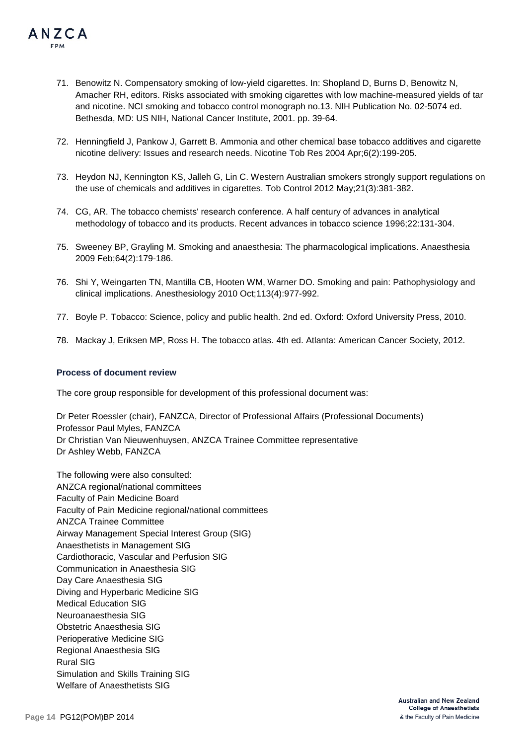- and nicotine. NCI smoking and tobacco control monograph no.13. NIH Publication No. 02-5074 ed. Bethesda, MD: US NIH, National Cancer Institute, 2001. pp. 39-64.
- 72. Henningfield J, Pankow J, Garrett B. Ammonia and other chemical base tobacco additives and cigarette nicotine delivery: Issues and research needs. Nicotine Tob Res 2004 Apr;6(2):199-205.
- 73. Heydon NJ, Kennington KS, Jalleh G, Lin C. Western Australian smokers strongly support regulations on the use of chemicals and additives in cigarettes. Tob Control 2012 May;21(3):381-382.
- 74. CG, AR. The tobacco chemists' research conference. A half century of advances in analytical methodology of tobacco and its products. Recent advances in tobacco science 1996;22:131-304.
- 75. Sweeney BP, Grayling M. Smoking and anaesthesia: The pharmacological implications. Anaesthesia 2009 Feb;64(2):179-186.
- 76. Shi Y, Weingarten TN, Mantilla CB, Hooten WM, Warner DO. Smoking and pain: Pathophysiology and clinical implications. Anesthesiology 2010 Oct;113(4):977-992.
- 77. Boyle P. Tobacco: Science, policy and public health. 2nd ed. Oxford: Oxford University Press, 2010.
- 78. Mackay J, Eriksen MP, Ross H. The tobacco atlas. 4th ed. Atlanta: American Cancer Society, 2012.

### **Process of document review**

ANZCA FPM

The core group responsible for development of this professional document was:

Dr Peter Roessler (chair), FANZCA, Director of Professional Affairs (Professional Documents) Professor Paul Myles, FANZCA Dr Christian Van Nieuwenhuysen, ANZCA Trainee Committee representative Dr Ashley Webb, FANZCA

The following were also consulted: ANZCA regional/national committees Faculty of Pain Medicine Board Faculty of Pain Medicine regional/national committees ANZCA Trainee Committee Airway Management Special Interest Group (SIG) Anaesthetists in Management SIG Cardiothoracic, Vascular and Perfusion SIG Communication in Anaesthesia SIG Day Care Anaesthesia SIG Diving and Hyperbaric Medicine SIG Medical Education SIG Neuroanaesthesia SIG Obstetric Anaesthesia SIG Perioperative Medicine SIG Regional Anaesthesia SIG Rural SIG Simulation and Skills Training SIG Welfare of Anaesthetists SIG